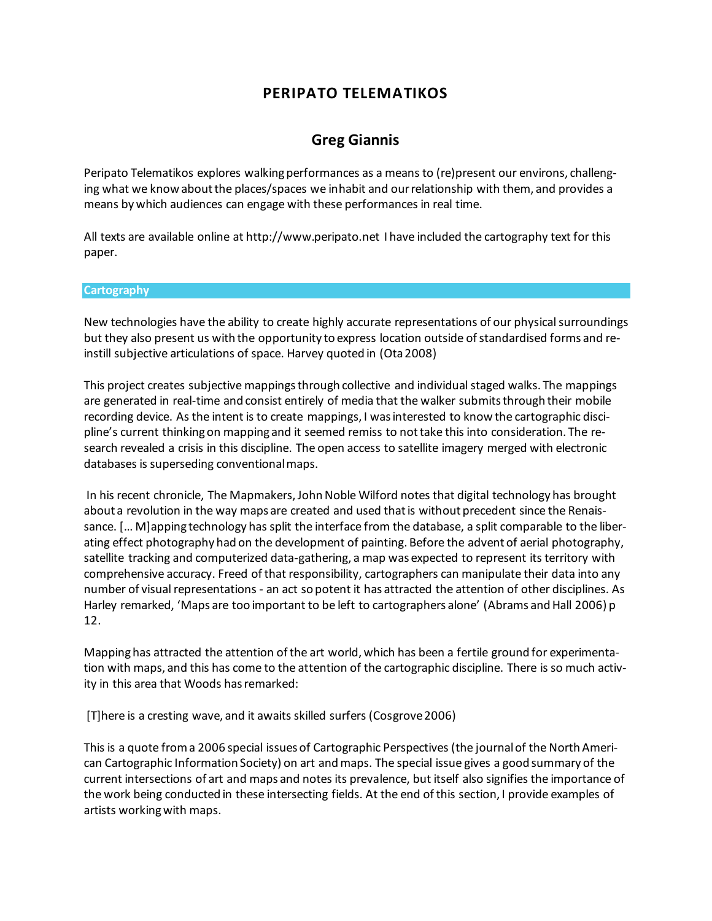# **PERIPATO TELEMATIKOS**

## **[Greg Giannis](http://isea2011.sabanciuniv.edu/mrgreg-giannis-artist-and-teacher-has-diverse-pract.html)**

Peripato Telematikos explores walking performances as a means to (re)present our environs, challenging what we know about the places/spaces we inhabit and our relationship with them, and provides a means by which audiences can engage with these performances in real time.

All texts are available online at http://www.peripato.net I have included the cartography text for this paper.

#### **Cartography**

New technologies have the ability to create highly accurate representations of our physical surroundings but they also present us with the opportunity to express location outside of standardised forms and reinstill subjective articulations of space. Harvey quoted in (Ota 2008)

This project creates subjective mappings through collective and individual staged walks. The mappings are generated in real-time and consist entirely of media that the walker submits through their mobile recording device. As the intent is to create mappings, I was interested to know the cartographic discipline's current thinking on mapping and it seemed remiss to not take this into consideration. The research revealed a crisis in this discipline. The open access to satellite imagery merged with electronic databases is superseding conventional maps.

In his recent chronicle, The Mapmakers, John Noble Wilford notes that digital technology has brought about a revolution in the way maps are created and used that is without precedent since the Renaissance. [… M]apping technology has split the interface from the database, a split comparable to the liberating effect photography had on the development of painting. Before the advent of aerial photography, satellite tracking and computerized data-gathering, a map was expected to represent its territory with comprehensive accuracy. Freed of that responsibility, cartographers can manipulate their data into any number of visual representations - an act so potent it has attracted the attention of other disciplines. As Harley remarked, 'Maps are too important to be left to cartographers alone' (Abrams and Hall 2006) p 12.

Mapping has attracted the attention of the art world, which has been a fertile ground for experimentation with maps, and this has come to the attention of the cartographic discipline. There is so much activity in this area that Woods has remarked:

[T]here is a cresting wave, and it awaits skilled surfers (Cosgrove 2006)

This is a quote from a 2006 special issues of Cartographic Perspectives (the journal of the North American Cartographic Information Society) on art and maps. The special issue gives a good summary of the current intersections of art and maps and notes its prevalence, but itself also signifies the importance of the work being conducted in these intersecting fields. At the end of this section, I provide examples of artists working with maps.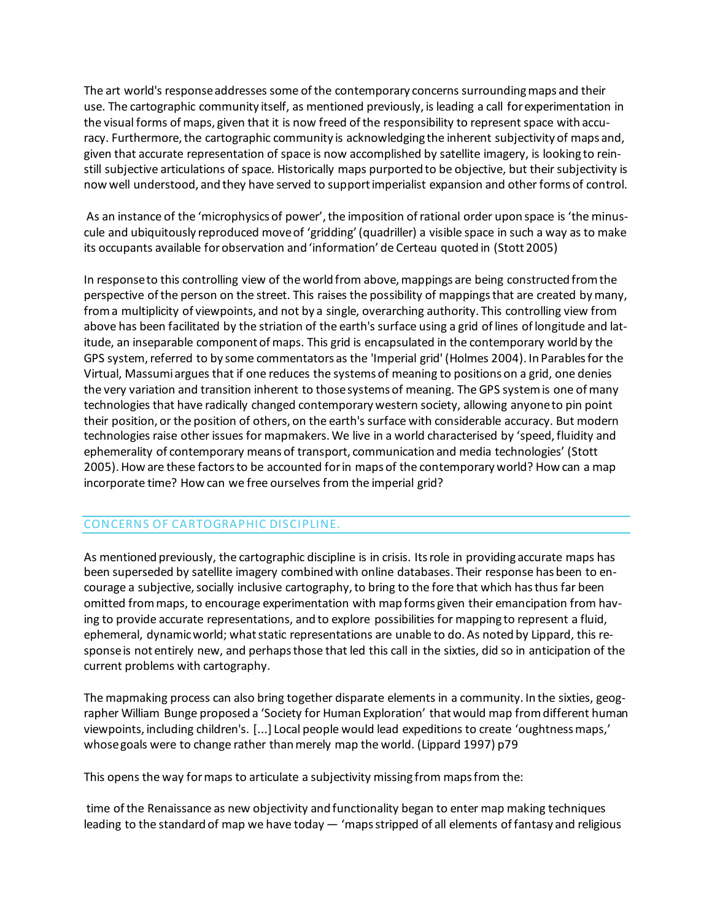The art world's response addresses some of the contemporary concerns surrounding maps and their use. The cartographic community itself, as mentioned previously, is leading a call for experimentation in the visual forms of maps, given that it is now freed of the responsibility to represent space with accuracy. Furthermore, the cartographic community is acknowledging the inherent subjectivity of maps and, given that accurate representation of space is now accomplished by satellite imagery, is looking to reinstill subjective articulations of space. Historically maps purported to be objective, but their subjectivity is now well understood, and they have served to support imperialist expansion and other forms of control.

As an instance of the 'microphysics of power', the imposition of rational order upon space is 'the minuscule and ubiquitously reproduced move of 'gridding' (quadriller) a visible space in such a way as to make its occupants available for observation and 'information' de Certeau quoted in (Stott 2005)

In response to this controlling view of the world from above, mappings are being constructed from the perspective of the person on the street. This raises the possibility of mappings that are created by many, from a multiplicity of viewpoints, and not by a single, overarching authority. This controlling view from above has been facilitated by the striation of the earth's surface using a grid of lines of longitude and latitude, an inseparable component of maps. This grid is encapsulated in the contemporary world by the GPS system, referred to by some commentators as the 'Imperial grid' (Holmes 2004). In Parables for the Virtual, Massumi argues that if one reduces the systems of meaning to positions on a grid, one denies the very variation and transition inherent to those systems of meaning. The GPS system is one of many technologies that have radically changed contemporary western society, allowing anyone to pin point their position, or the position of others, on the earth's surface with considerable accuracy. But modern technologies raise other issues for mapmakers. We live in a world characterised by 'speed, fluidity and ephemerality of contemporary means of transport, communication and media technologies' (Stott 2005). How are these factors to be accounted for in maps of the contemporary world? How can a map incorporate time? How can we free ourselves from the imperial grid?

### CONCERNS OF CARTOGRAPHIC DISCIPLINE.

As mentioned previously, the cartographic discipline is in crisis. Its role in providing accurate maps has been superseded by satellite imagery combined with online databases. Their response has been to encourage a subjective, socially inclusive cartography, to bring to the fore that which has thus far been omitted from maps, to encourage experimentation with map forms given their emancipation from having to provide accurate representations, and to explore possibilities for mapping to represent a fluid, ephemeral, dynamic world; what static representations are unable to do. As noted by Lippard, this response is not entirely new, and perhaps those that led this call in the sixties, did so in anticipation of the current problems with cartography.

The mapmaking process can also bring together disparate elements in a community. In the sixties, geographer William Bunge proposed a 'Society for Human Exploration' that would map from different human viewpoints, including children's. [...] Local people would lead expeditions to create 'oughtness maps,' whose goals were to change rather than merely map the world. (Lippard 1997) p79

This opens the way for maps to articulate a subjectivity missing from maps from the:

time of the Renaissance as new objectivity and functionality began to enter map making techniques leading to the standard of map we have today — 'maps stripped of all elements of fantasy and religious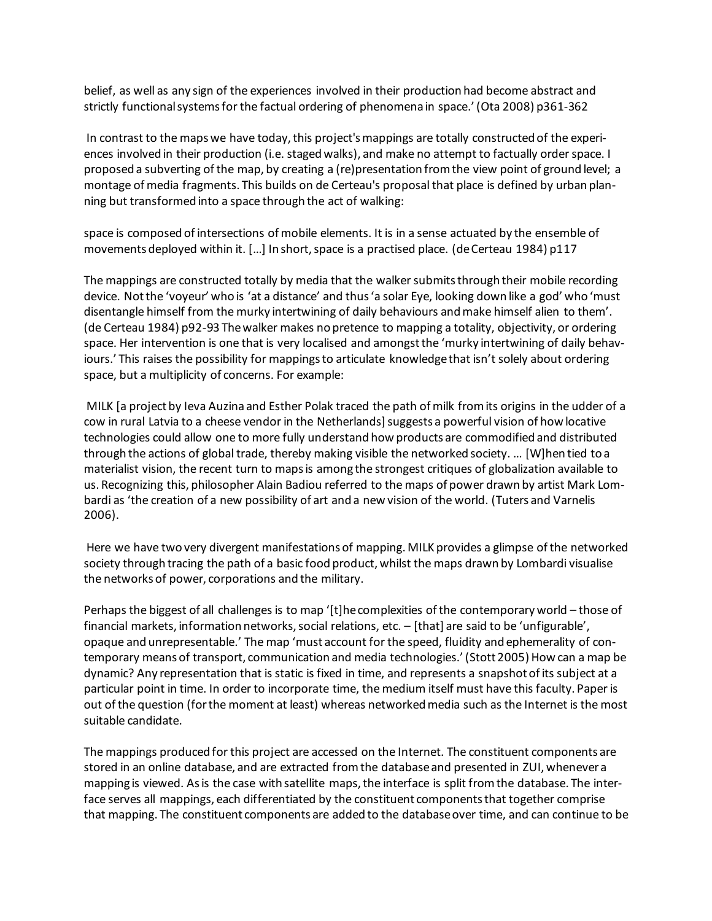belief, as well as any sign of the experiences involved in their production had become abstract and strictly functional systems for the factual ordering of phenomena in space.' (Ota 2008) p361-362

In contrast to the maps we have today, this project's mappings are totally constructed of the experiences involved in their production (i.e. staged walks), and make no attempt to factually order space. I proposed a subverting of the map, by creating a (re)presentation from the view point of ground level; a montage of media fragments. This builds on de Certeau's proposal that place is defined by urban planning but transformed into a space through the act of walking:

space is composed of intersections of mobile elements. It is in a sense actuated by the ensemble of movements deployed within it. […] In short, space is a practised place. (de Certeau 1984) p117

The mappings are constructed totally by media that the walker submits through their mobile recording device. Not the 'voyeur' who is 'at a distance' and thus 'a solar Eye, looking down like a god' who 'must disentangle himself from the murky intertwining of daily behaviours and make himself alien to them'. (de Certeau 1984) p92-93 The walker makes no pretence to mapping a totality, objectivity, or ordering space. Her intervention is one that is very localised and amongst the 'murky intertwining of daily behaviours.' This raises the possibility for mappings to articulate knowledge that isn't solely about ordering space, but a multiplicity of concerns. For example:

MILK [a project by Ieva Auzina and Esther Polak traced the path of milk from its origins in the udder of a cow in rural Latvia to a cheese vendor in the Netherlands] suggests a powerful vision of how locative technologies could allow one to more fully understand how products are commodified and distributed through the actions of global trade, thereby making visible the networked society. … [W]hen tied to a materialist vision, the recent turn to maps is among the strongest critiques of globalization available to us. Recognizing this, philosopher Alain Badiou referred to the maps of power drawn by artist Mark Lombardi as 'the creation of a new possibility of art and a new vision of the world. (Tuters and Varnelis 2006).

Here we have two very divergent manifestations of mapping. MILK provides a glimpse of the networked society through tracing the path of a basic food product, whilst the maps drawn by Lombardi visualise the networks of power, corporations and the military.

Perhaps the biggest of all challenges is to map '[t]he complexities of the contemporary world – those of financial markets, information networks, social relations, etc. – [that] are said to be 'unfigurable', opaque and unrepresentable.' The map 'must account for the speed, fluidity and ephemerality of contemporary means of transport, communication and media technologies.' (Stott 2005) How can a map be dynamic? Any representation that is static is fixed in time, and represents a snapshot of its subject at a particular point in time. In order to incorporate time, the medium itself must have this faculty. Paper is out of the question (for the moment at least) whereas networked media such as the Internet is the most suitable candidate.

The mappings produced for this project are accessed on the Internet. The constituent components are stored in an online database, and are extracted from the database and presented in ZUI, whenever a mapping is viewed. As is the case with satellite maps, the interface is split from the database. The interface serves all mappings, each differentiated by the constituent components that together comprise that mapping. The constituent components are added to the database over time, and can continue to be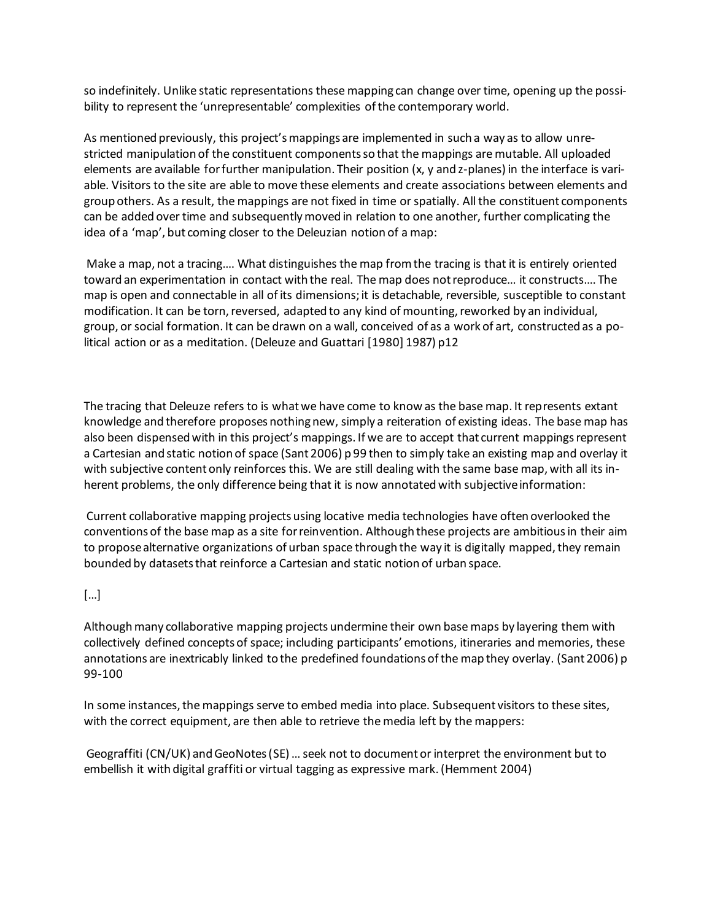so indefinitely. Unlike static representations these mapping can change over time, opening up the possibility to represent the 'unrepresentable' complexities of the contemporary world.

As mentioned previously, this project's mappings are implemented in such a way as to allow unrestricted manipulation of the constituent components so that the mappings are mutable. All uploaded elements are available for further manipulation. Their position (x, y and z-planes) in the interface is variable. Visitors to the site are able to move these elements and create associations between elements and group others. As a result, the mappings are not fixed in time or spatially. All the constituent components can be added over time and subsequently moved in relation to one another, further complicating the idea of a 'map', but coming closer to the Deleuzian notion of a map:

Make a map, not a tracing…. What distinguishes the map from the tracing is that it is entirely oriented toward an experimentation in contact with the real. The map does not reproduce… it constructs…. The map is open and connectable in all of its dimensions; it is detachable, reversible, susceptible to constant modification. It can be torn, reversed, adapted to any kind of mounting, reworked by an individual, group, or social formation. It can be drawn on a wall, conceived of as a work of art, constructed as a political action or as a meditation. (Deleuze and Guattari [1980] 1987) p12

The tracing that Deleuze refers to is what we have come to know as the base map. It represents extant knowledge and therefore proposes nothing new, simply a reiteration of existing ideas. The base map has also been dispensed with in this project's mappings. If we are to accept that current mappings represent a Cartesian and static notion of space (Sant 2006) p 99 then to simply take an existing map and overlay it with subjective content only reinforces this. We are still dealing with the same base map, with all its inherent problems, the only difference being that it is now annotated with subjective information:

Current collaborative mapping projects using locative media technologies have often overlooked the conventions of the base map as a site for reinvention. Although these projects are ambitious in their aim to propose alternative organizations of urban space through the way it is digitally mapped, they remain bounded by datasets that reinforce a Cartesian and static notion of urban space.

### […]

Although many collaborative mapping projects undermine their own base maps by layering them with collectively defined concepts of space; including participants' emotions, itineraries and memories, these annotations are inextricably linked to the predefined foundations of the map they overlay. (Sant 2006) p 99-100

In some instances, the mappings serve to embed media into place. Subsequent visitors to these sites, with the correct equipment, are then able to retrieve the media left by the mappers:

Geograffiti (CN/UK) and GeoNotes (SE) … seek not to document or interpret the environment but to embellish it with digital graffiti or virtual tagging as expressive mark. (Hemment 2004)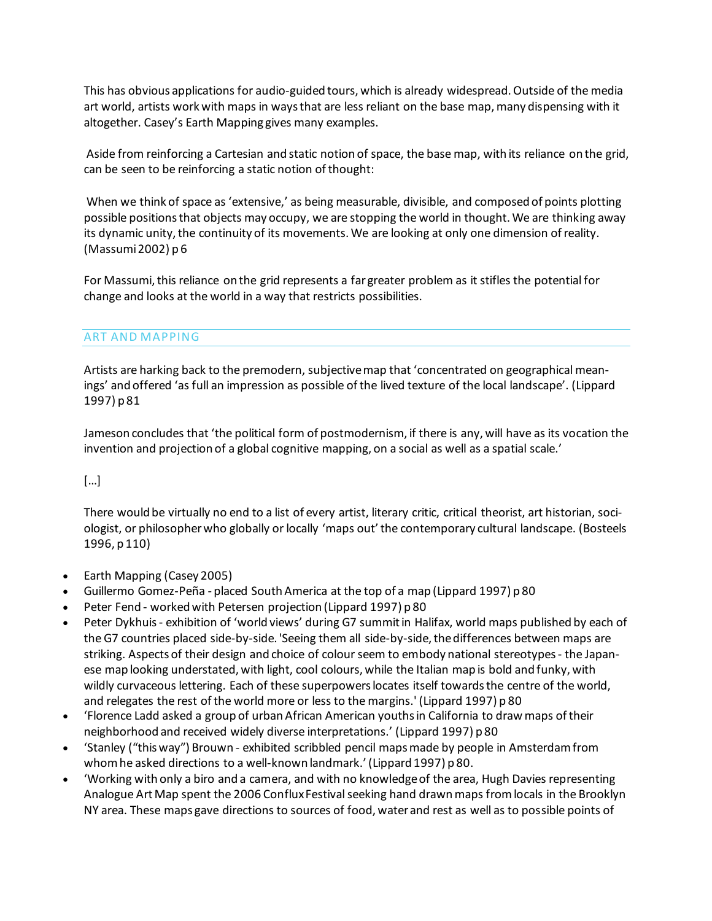This has obvious applications for audio-guided tours, which is already widespread. Outside of the media art world, artists work with maps in ways that are less reliant on the base map, many dispensing with it altogether. Casey's Earth Mapping gives many examples.

Aside from reinforcing a Cartesian and static notion of space, the base map, with its reliance on the grid, can be seen to be reinforcing a static notion of thought:

When we think of space as 'extensive,' as being measurable, divisible, and composed of points plotting possible positions that objects may occupy, we are stopping the world in thought. We are thinking away its dynamic unity, the continuity of its movements. We are looking at only one dimension of reality. (Massumi 2002) p 6

For Massumi, this reliance on the grid represents a far greater problem as it stifles the potential for change and looks at the world in a way that restricts possibilities.

### ART AND MAPPING

Artists are harking back to the premodern, subjective map that 'concentrated on geographical meanings' and offered 'as full an impression as possible of the lived texture of the local landscape'. (Lippard 1997) p 81

Jameson concludes that 'the political form of postmodernism, if there is any, will have as its vocation the invention and projection of a global cognitive mapping, on a social as well as a spatial scale.'

### […]

There would be virtually no end to a list of every artist, literary critic, critical theorist, art historian, sociologist, or philosopher who globally or locally 'maps out' the contemporary cultural landscape. (Bosteels 1996, p 110)

- Earth Mapping (Casey 2005)
- Guillermo Gomez-Peña placed South America at the top of a map (Lippard 1997) p 80
- Peter Fend worked with Petersen projection (Lippard 1997) p 80
- Peter Dykhuis exhibition of 'world views' during G7 summit in Halifax, world maps published by each of the G7 countries placed side-by-side. 'Seeing them all side-by-side, the differences between maps are striking. Aspects of their design and choice of colour seem to embody national stereotypes - the Japanese map looking understated, with light, cool colours, while the Italian map is bold and funky, with wildly curvaceous lettering. Each of these superpowers locates itself towards the centre of the world, and relegates the rest of the world more or less to the margins.' (Lippard 1997) p 80
- 'Florence Ladd asked a group of urban African American youths in California to draw maps of their neighborhood and received widely diverse interpretations.' (Lippard 1997) p 80
- 'Stanley ("this way") Brouwn exhibited scribbled pencil maps made by people in Amsterdam from whom he asked directions to a well-known landmark.' (Lippard 1997) p 80.
- 'Working with only a biro and a camera, and with no knowledge of the area, Hugh Davies representing Analogue Art Map spent the 2006 Conflux Festival seeking hand drawn maps from locals in the Brooklyn NY area. These maps gave directions to sources of food, water and rest as well as to possible points of